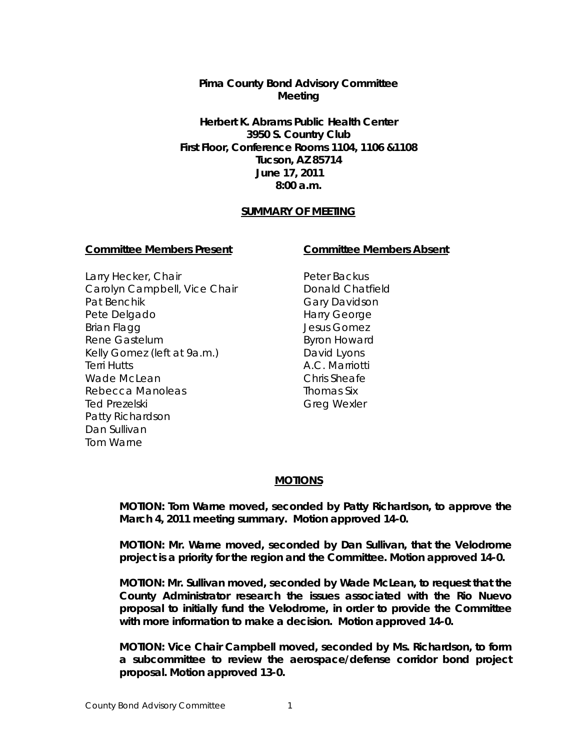# **Pima County Bond Advisory Committee Meeting**

**Herbert K. Abrams Public Health Center 3950 S. Country Club First Floor, Conference Rooms 1104, 1106 &1108 Tucson, AZ 85714 June 17, 2011 8:00 a.m.**

## **SUMMARY OF MEETING**

#### **Committee Members Present Committee Members Absent**

Larry Hecker, Chair Carolyn Campbell, Vice Chair Pat Benchik Pete Delgado Brian Flagg Rene Gastelum Kelly Gomez (left at 9a.m.) Terri Hutts Wade McLean Rebecca Manoleas Ted Prezelski Patty Richardson Dan Sullivan Tom Warne

Peter Backus Donald Chatfield Gary Davidson Harry George Jesus Gomez Byron Howard David Lyons A.C. Marriotti Chris Sheafe Thomas Six Greg Wexler

#### **MOTIONS**

**MOTION: Tom Warne moved, seconded by Patty Richardson, to approve the March 4, 2011 meeting summary. Motion approved 14-0.**

**MOTION: Mr. Warne moved, seconded by Dan Sullivan, that the Velodrome project is a priority for the region and the Committee. Motion approved 14-0.**

**MOTION: Mr. Sullivan moved, seconded by Wade McLean, to request that the County Administrator research the issues associated with the Rio Nuevo proposal to initially fund the Velodrome, in order to provide the Committee with more information to make a decision. Motion approved 14-0.**

**MOTION: Vice Chair Campbell moved, seconded by Ms. Richardson, to form a subcommittee to review the aerospace/defense corridor bond project proposal. Motion approved 13-0.**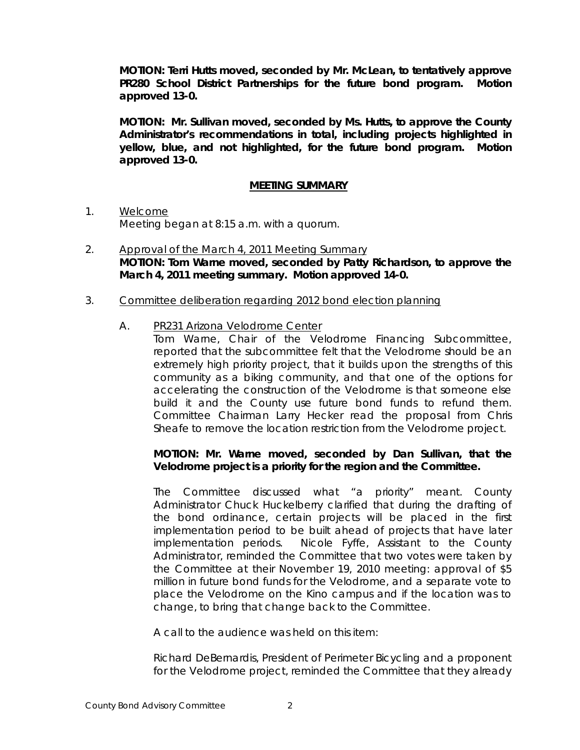**MOTION: Terri Hutts moved, seconded by Mr. McLean, to tentatively approve PR280 School District Partnerships for the future bond program. Motion approved 13-0.**

**MOTION: Mr. Sullivan moved, seconded by Ms. Hutts, to approve the County Administrator's recommendations in total, including projects highlighted in yellow, blue, and not highlighted, for the future bond program. Motion approved 13-0.** 

## **MEETING SUMMARY**

- 1. Welcome Meeting began at 8:15 a.m. with a quorum.
- 2. Approval of the March 4, 2011 Meeting Summary **MOTION: Tom Warne moved, seconded by Patty Richardson, to approve the March 4, 2011 meeting summary. Motion approved 14-0.**
- 3. Committee deliberation regarding 2012 bond election planning
	- A. PR231 Arizona Velodrome Center

Tom Warne, Chair of the Velodrome Financing Subcommittee, reported that the subcommittee felt that the Velodrome should be an extremely high priority project, that it builds upon the strengths of this community as a biking community, and that one of the options for accelerating the construction of the Velodrome is that someone else build it and the County use future bond funds to refund them. Committee Chairman Larry Hecker read the proposal from Chris Sheafe to remove the location restriction from the Velodrome project.

## **MOTION: Mr. Warne moved, seconded by Dan Sullivan, that the Velodrome project is a priority for the region and the Committee.**

The Committee discussed what "a priority" meant. County Administrator Chuck Huckelberry clarified that during the drafting of the bond ordinance, certain projects will be placed in the first implementation period to be built ahead of projects that have later implementation periods. Nicole Fyffe, Assistant to the County Administrator, reminded the Committee that two votes were taken by the Committee at their November 19, 2010 meeting: approval of \$5 million in future bond funds for the Velodrome, and a separate vote to place the Velodrome on the Kino campus and if the location was to change, to bring that change back to the Committee.

A call to the audience was held on this item:

Richard DeBernardis, President of Perimeter Bicycling and a proponent for the Velodrome project, reminded the Committee that they already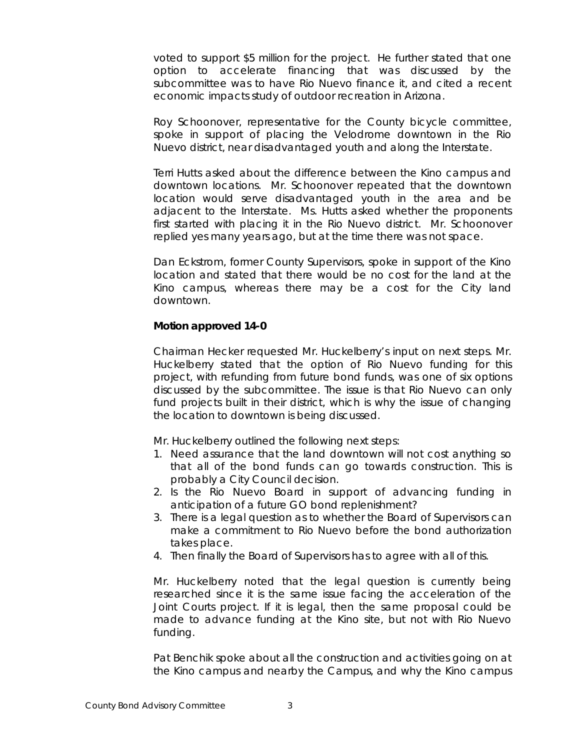voted to support \$5 million for the project. He further stated that one option to accelerate financing that was discussed by the subcommittee was to have Rio Nuevo finance it, and cited a recent economic impacts study of outdoor recreation in Arizona.

Roy Schoonover, representative for the County bicycle committee, spoke in support of placing the Velodrome downtown in the Rio Nuevo district, near disadvantaged youth and along the Interstate.

Terri Hutts asked about the difference between the Kino campus and downtown locations. Mr. Schoonover repeated that the downtown location would serve disadvantaged youth in the area and be adjacent to the Interstate. Ms. Hutts asked whether the proponents first started with placing it in the Rio Nuevo district. Mr. Schoonover replied yes many years ago, but at the time there was not space.

Dan Eckstrom, former County Supervisors, spoke in support of the Kino location and stated that there would be no cost for the land at the Kino campus, whereas there may be a cost for the City land downtown.

### **Motion approved 14-0**

Chairman Hecker requested Mr. Huckelberry's input on next steps. Mr. Huckelberry stated that the option of Rio Nuevo funding for this project, with refunding from future bond funds, was one of six options discussed by the subcommittee. The issue is that Rio Nuevo can only fund projects built in their district, which is why the issue of changing the location to downtown is being discussed.

Mr. Huckelberry outlined the following next steps:

- 1. Need assurance that the land downtown will not cost anything so that all of the bond funds can go towards construction. This is probably a City Council decision.
- 2. Is the Rio Nuevo Board in support of advancing funding in anticipation of a future GO bond replenishment?
- 3. There is a legal question as to whether the Board of Supervisors can make a commitment to Rio Nuevo before the bond authorization takes place.
- 4. Then finally the Board of Supervisors has to agree with all of this.

Mr. Huckelberry noted that the legal question is currently being researched since it is the same issue facing the acceleration of the Joint Courts project. If it is legal, then the same proposal could be made to advance funding at the Kino site, but not with Rio Nuevo funding.

Pat Benchik spoke about all the construction and activities going on at the Kino campus and nearby the Campus, and why the Kino campus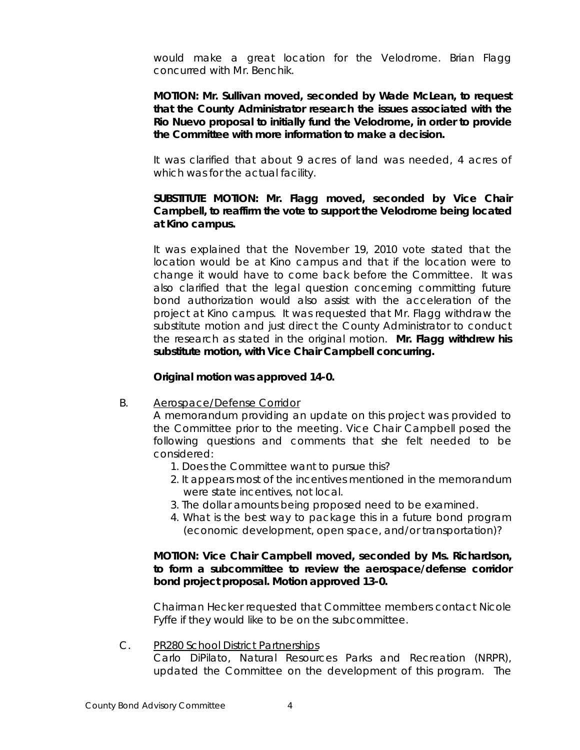would make a great location for the Velodrome. Brian Flagg concurred with Mr. Benchik.

**MOTION: Mr. Sullivan moved, seconded by Wade McLean, to request that the County Administrator research the issues associated with the Rio Nuevo proposal to initially fund the Velodrome, in order to provide the Committee with more information to make a decision.**

It was clarified that about 9 acres of land was needed, 4 acres of which was for the actual facility.

# **SUBSTITUTE MOTION: Mr. Flagg moved, seconded by Vice Chair Campbell, to reaffirm the vote to support the Velodrome being located at Kino campus.**

It was explained that the November 19, 2010 vote stated that the location would be at Kino campus and that if the location were to change it would have to come back before the Committee. It was also clarified that the legal question concerning committing future bond authorization would also assist with the acceleration of the project at Kino campus. It was requested that Mr. Flagg withdraw the substitute motion and just direct the County Administrator to conduct the research as stated in the original motion. **Mr. Flagg withdrew his substitute motion, with Vice Chair Campbell concurring.** 

#### **Original motion was approved 14-0.**

B. Aerospace/Defense Corridor

A memorandum providing an update on this project was provided to the Committee prior to the meeting. Vice Chair Campbell posed the following questions and comments that she felt needed to be considered:

- 1. Does the Committee want to pursue this?
- 2. It appears most of the incentives mentioned in the memorandum were state incentives, not local.
- 3. The dollar amounts being proposed need to be examined.
- 4. What is the best way to package this in a future bond program (economic development, open space, and/or transportation)?

## **MOTION: Vice Chair Campbell moved, seconded by Ms. Richardson, to form a subcommittee to review the aerospace/defense corridor bond project proposal. Motion approved 13-0.**

Chairman Hecker requested that Committee members contact Nicole Fyffe if they would like to be on the subcommittee.

## C. PR280 School District Partnerships

Carlo DiPilato, Natural Resources Parks and Recreation (NRPR), updated the Committee on the development of this program. The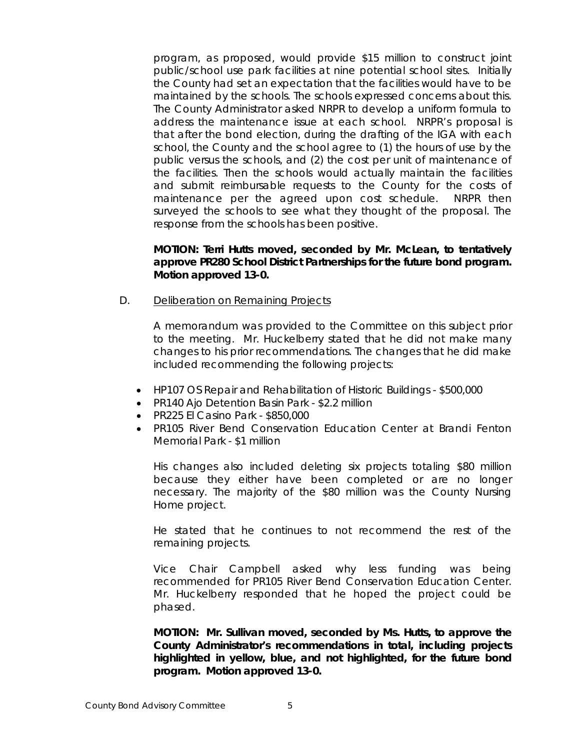program, as proposed, would provide \$15 million to construct joint public/school use park facilities at nine potential school sites. Initially the County had set an expectation that the facilities would have to be maintained by the schools. The schools expressed concerns about this. The County Administrator asked NRPR to develop a uniform formula to address the maintenance issue at each school. NRPR's proposal is that after the bond election, during the drafting of the IGA with each school, the County and the school agree to (1) the hours of use by the public versus the schools, and (2) the cost per unit of maintenance of the facilities. Then the schools would actually maintain the facilities and submit reimbursable requests to the County for the costs of maintenance per the agreed upon cost schedule. NRPR then surveyed the schools to see what they thought of the proposal. The response from the schools has been positive.

## **MOTION: Terri Hutts moved, seconded by Mr. McLean, to tentatively approve PR280 School District Partnerships for the future bond program. Motion approved 13-0.**

D. Deliberation on Remaining Projects

A memorandum was provided to the Committee on this subject prior to the meeting. Mr. Huckelberry stated that he did not make many changes to his prior recommendations. The changes that he did make included recommending the following projects:

- HP107 OS Repair and Rehabilitation of Historic Buildings \$500,000
- PR140 Ajo Detention Basin Park \$2.2 million
- PR225 El Casino Park \$850,000
- PR105 River Bend Conservation Education Center at Brandi Fenton Memorial Park - \$1 million

His changes also included deleting six projects totaling \$80 million because they either have been completed or are no longer necessary. The majority of the \$80 million was the County Nursing Home project.

He stated that he continues to not recommend the rest of the remaining projects.

Vice Chair Campbell asked why less funding was being recommended for PR105 River Bend Conservation Education Center. Mr. Huckelberry responded that he hoped the project could be phased.

**MOTION: Mr. Sullivan moved, seconded by Ms. Hutts, to approve the County Administrator's recommendations in total, including projects highlighted in yellow, blue, and not highlighted, for the future bond program. Motion approved 13-0.**